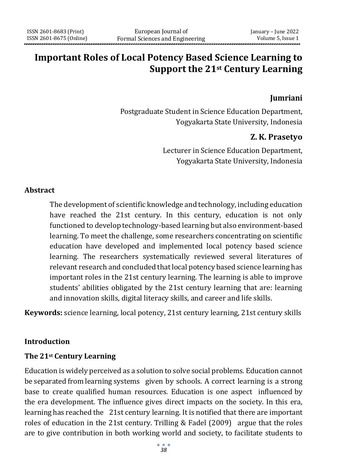# **Important Roles of Local Potency Based Science Learning to Support the 21st Century Learning**

### **Jumriani**

Postgraduate Student in Science Education Department, Yogyakarta State University, Indonesia

### **Z. K. Prasetyo**

Lecturer in Science Education Department, Yogyakarta State University, Indonesia

#### **Abstract**

The development of scientific knowledge and technology, including education have reached the 21st century. In this century, education is not only functioned to develop technology-based learning but also environment-based learning. To meet the challenge, some researchers concentrating on scientific education have developed and implemented local potency based science learning. The researchers systematically reviewed several literatures of relevant research and concluded that local potency based science learning has important roles in the 21st century learning. The learning is able to improve students' abilities obligated by the 21st century learning that are: learning and innovation skills, digital literacy skills, and career and life skills.

**Keywords:** science learning, local potency, 21st century learning, 21st century skills

### **Introduction**

### **The 21st Century Learning**

Education is widely perceived as a solution to solve social problems. Education cannot be separated from learning systems given by schools. A correct learning is a strong base to create qualified human resources. Education is one aspect influenced by the era development. The influence gives direct impacts on the society. In this era, learning has reached the 21st century learning. It is notified that there are important roles of education in the 21st century. Trilling & Fadel (2009) argue that the roles are to give contribution in both working world and society, to facilitate students to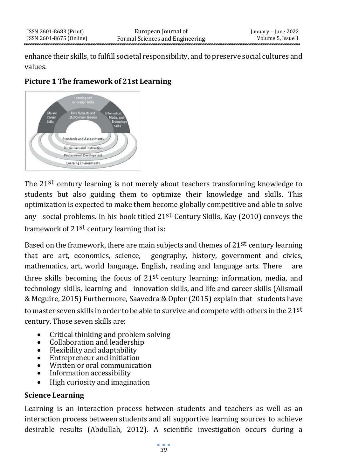enhance their skills, to fulfill societal responsibility, and to preserve social cultures and values.

## **Picture 1 The framework of 21st Learning**



The 21st century learning is not merely about teachers transforming knowledge to students but also guiding them to optimize their knowledge and skills. This optimization is expected to make them become globally competitive and able to solve any social problems. In his book titled  $21^{st}$  Century Skills, Kay (2010) conveys the framework of 21st century learning that is:

Based on the framework, there are main subjects and themes of 21st century learning that are art, economics, science, geography, history, government and civics, mathematics, art, world language, English, reading and language arts. There are three skills becoming the focus of 21st century learning: information, media, and technology skills, learning and innovation skills, and life and career skills (Alismail & Mcguire, 2015) Furthermore, Saavedra & Opfer (2015) explain that students have to master seven skills in order to be able to survive and compete with others in the 21 $st$ century. Those seven skills are:

- Critical thinking and problem solving
- Collaboration and leadership
- Flexibility and adaptability
- Entrepreneur and initiation
- Written or oral communication
- Information accessibility
- High curiosity and imagination

## **Science Learning**

Learning is an interaction process between students and teachers as well as an interaction process between students and all supportive learning sources to achieve desirable results (Abdullah, 2012). A scientific investigation occurs during a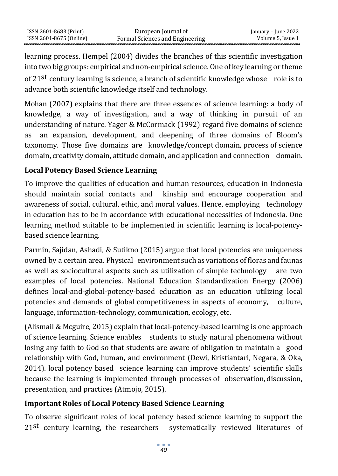learning process. Hempel (2004) divides the branches of this scientific investigation into two big groups: empirical and non-empirical science. One of key learning or theme of 21<sup>st</sup> century learning is science, a branch of scientific knowledge whose role is to advance both scientific knowledge itself and technology.

Mohan (2007) explains that there are three essences of science learning: a body of knowledge, a way of investigation, and a way of thinking in pursuit of an understanding of nature. Yager & McCormack (1992) regard five domains of science as an expansion, development, and deepening of three domains of Bloom's taxonomy. Those five domains are knowledge/concept domain, process of science domain, creativity domain, attitude domain, and application and connection domain.

## **Local Potency Based Science Learning**

To improve the qualities of education and human resources, education in Indonesia should maintain social contacts and kinship and encourage cooperation and awareness of social, cultural, ethic, and moral values. Hence, employing technology in education has to be in accordance with educational necessities of Indonesia. One learning method suitable to be implemented in scientific learning is local-potencybased science learning.

Parmin, Sajidan, Ashadi, & Sutikno (2015) argue that local potencies are uniqueness owned by a certain area. Physical environment such as variations of floras and faunas as well as sociocultural aspects such as utilization of simple technology are two examples of local potencies. National Education Standardization Energy (2006) defines local-and-global-potency-based education as an education utilizing local potencies and demands of global competitiveness in aspects of economy, culture, language, information-technology, communication, ecology, etc.

(Alismail & Mcguire, 2015) explain that local-potency-based learning is one approach of science learning. Science enables students to study natural phenomena without losing any faith to God so that students are aware of obligation to maintain a good relationship with God, human, and environment (Dewi, Kristiantari, Negara, & Oka, 2014). local potency based science learning can improve students' scientific skills because the learning is implemented through processes of observation, discussion, presentation, and practices (Atmojo, 2015).

## **Important Roles of Local Potency Based Science Learning**

To observe significant roles of local potency based science learning to support the 21st century learning, the researchers systematically reviewed literatures of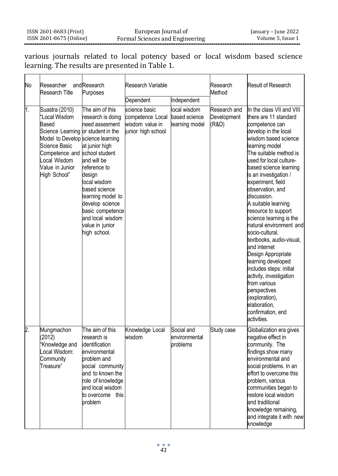various journals related to local potency based or local wisdom based science learning. The results are presented in Table 1.

| No               | Researcher<br><b>Research Title</b>                                                                                                                                                                                      | and Research<br>Purposes                                                                                                                                                                                                                                              | Research Variable                                                          |                                                 | Research<br>Method                   | <b>Result of Research</b>                                                                                                                                                                                                                                                                                                                                                                                                                                                                                                                                                                                                                                                         |
|------------------|--------------------------------------------------------------------------------------------------------------------------------------------------------------------------------------------------------------------------|-----------------------------------------------------------------------------------------------------------------------------------------------------------------------------------------------------------------------------------------------------------------------|----------------------------------------------------------------------------|-------------------------------------------------|--------------------------------------|-----------------------------------------------------------------------------------------------------------------------------------------------------------------------------------------------------------------------------------------------------------------------------------------------------------------------------------------------------------------------------------------------------------------------------------------------------------------------------------------------------------------------------------------------------------------------------------------------------------------------------------------------------------------------------------|
|                  |                                                                                                                                                                                                                          |                                                                                                                                                                                                                                                                       | Dependent                                                                  | Independent                                     |                                      |                                                                                                                                                                                                                                                                                                                                                                                                                                                                                                                                                                                                                                                                                   |
| $\overline{1}$ . | Suastra (2010)<br>'Local Wisdom<br>Based<br>Science Learning or student in the<br>Model to Develop science learning<br>Science Basic<br>Competence and school student<br>Local Wisdom<br>Value in Junior<br>High School" | The aim of this<br>research is doing<br>need assesment<br>at junior high<br>and will be<br>reference to<br>design<br>local wisdom<br>based science<br>learning model to<br>develop science<br>basic competence<br>and local wisdom<br>value in junior<br>high school. | science basic<br>competence Local<br>wisdom value in<br>junior high school | local wisdom<br>based science<br>learning model | Research and<br>Development<br>(R&D) | In the class VII and VIII<br>there are 11 standard<br>competence can<br>develop in the local<br>wisdom based science<br>learning model<br>The suitable method is<br>used for local culture-<br>based science learning<br>is an investigation /<br>experiment, field<br>observation, and<br>discussion.<br>A suitable learning<br>resource to support<br>science learning is the<br>natural environment and<br>socio-cultural.<br>textbooks, audio-visual,<br>and internet<br>Design Appropriate<br>learning developed<br>includes steps: initial<br>activity, investigation<br>from various<br>perspectives<br>(exploration),<br>elaboration.<br>confirmation, end<br>activities. |
| $\overline{2}$ . | Mungmachon<br>(2012)<br>'Knowledge and<br>Local Wisdom:<br>Community<br>Treasure"                                                                                                                                        | The aim of this<br>research is<br>identification<br>environmental<br>problem and<br>social community<br>and to known the<br>role of knowledge<br>and local wisdom<br>to overcome this<br>problem                                                                      | Knowledge Local<br>wisdom                                                  | Social and<br>environmental<br>problems         | Study case                           | Globalization era gives<br>negative effect in<br>community. The<br>findings show many<br>environmental and<br>social problems. In an<br>effort to overcome this<br>problem, various<br>communities began to<br>restore local wisdom<br>and traditional<br>knowledge remaining,<br>and integrate it with new<br>knowledge                                                                                                                                                                                                                                                                                                                                                          |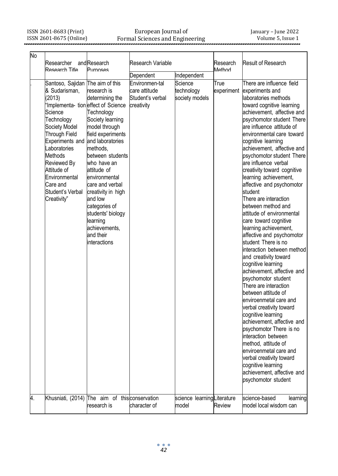ISSN 2601-8683 (Print) ISSN 2601-8675 (Online)

#### European Journal of Formal Sciences and Engineering

| No | Researcher<br>Research Title                                                                                                                                                                                                                                                                                   | andResearch<br>Purnoses                                                                                                                                                                                                                                                                                                                                       | Research Variable                                                              |                                                        | Research<br>Method | Result of Research                                                                                                                                                                                                                                                                                                                                                                                                                                                                                                                                                                                                                                                                                                                                                                                                                                                                                                                                                                                                                                                                                                                 |
|----|----------------------------------------------------------------------------------------------------------------------------------------------------------------------------------------------------------------------------------------------------------------------------------------------------------------|---------------------------------------------------------------------------------------------------------------------------------------------------------------------------------------------------------------------------------------------------------------------------------------------------------------------------------------------------------------|--------------------------------------------------------------------------------|--------------------------------------------------------|--------------------|------------------------------------------------------------------------------------------------------------------------------------------------------------------------------------------------------------------------------------------------------------------------------------------------------------------------------------------------------------------------------------------------------------------------------------------------------------------------------------------------------------------------------------------------------------------------------------------------------------------------------------------------------------------------------------------------------------------------------------------------------------------------------------------------------------------------------------------------------------------------------------------------------------------------------------------------------------------------------------------------------------------------------------------------------------------------------------------------------------------------------------|
|    |                                                                                                                                                                                                                                                                                                                |                                                                                                                                                                                                                                                                                                                                                               |                                                                                |                                                        |                    |                                                                                                                                                                                                                                                                                                                                                                                                                                                                                                                                                                                                                                                                                                                                                                                                                                                                                                                                                                                                                                                                                                                                    |
|    | Santoso, Sajidan The aim of this<br>& Sudarisman,<br>(2013)<br>Implementa-tion effect of Science<br>Science<br>Technology<br>Society Model<br>Through Field<br><b>Experiments and</b><br>Laboratories<br>Methods<br>Reviewed By<br>Attitude of<br>Environmental<br>Care and<br>Student's Verbal<br>Creativity" | research is<br>determining the<br>Technology<br>Society learning<br>model through<br>field experiments<br>and laboratories<br>methods.<br>between students<br>who have an<br>attitude of<br>environmental<br>care and verbal<br>creativity in high<br>and low<br>categories of<br>students' biology<br>learning<br>achievements,<br>and their<br>interactions | Dependent<br>Environmen-tal<br>care attitude<br>Student's verbal<br>creativity | Independent<br>Science<br>technology<br>society models | True               | There are influence field<br>experiment experiments and<br>laboratories methods<br>toward cognitive learning<br>achievement, affective and<br>psychomotor student There<br>are influence attitude of<br>environmental care toward<br>cognitive learning<br>achievement, affective and<br>psychomotor student There<br>are influence verbal<br>creativity toward cognitive<br>learning achievement,<br>affective and psychomotor<br>student<br>There are interaction<br>between method and<br>attitude of environmental<br>care toward cognitive<br>learning achievement,<br>affective and psychomotor<br>student There is no<br>interaction between method<br>and creativity toward<br>cognitive learning<br>achievement, affective and<br>psychomotor student<br>There are interaction<br>between attitude of<br>enviroenmetal care and<br>verbal creativity toward<br>cognitive learning<br>achievement, affective and<br>psychomotor There is no<br>interaction between<br>method, attitude of<br>enviroenmetal care and<br>verbal creativity toward<br>cognitive learning<br>achievement, affective and<br>psychomotor student |
| 4. |                                                                                                                                                                                                                                                                                                                | Khusniati, (2014) The aim of this conservation<br>research is                                                                                                                                                                                                                                                                                                 | character of                                                                   | science learningLiterature<br>model                    | Review             | science-based<br>learning<br>model local wisdom can                                                                                                                                                                                                                                                                                                                                                                                                                                                                                                                                                                                                                                                                                                                                                                                                                                                                                                                                                                                                                                                                                |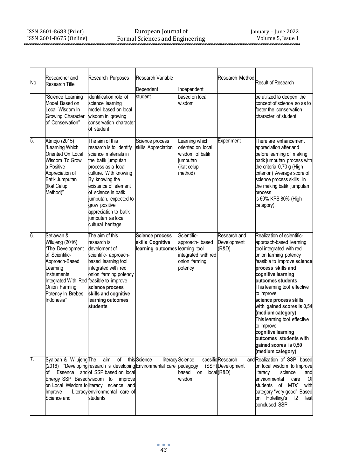| No | Researcher and<br>Research Title                                                                                                                                                                                | Research Purposes<br>Research Variable                                                                                                                                                                                                                                                                                |                                                                               |                                                                                              | Research Method                                     | Result of Research                                                                                                                                                                                                                                                                                                                                                                                                                                                                |
|----|-----------------------------------------------------------------------------------------------------------------------------------------------------------------------------------------------------------------|-----------------------------------------------------------------------------------------------------------------------------------------------------------------------------------------------------------------------------------------------------------------------------------------------------------------------|-------------------------------------------------------------------------------|----------------------------------------------------------------------------------------------|-----------------------------------------------------|-----------------------------------------------------------------------------------------------------------------------------------------------------------------------------------------------------------------------------------------------------------------------------------------------------------------------------------------------------------------------------------------------------------------------------------------------------------------------------------|
|    |                                                                                                                                                                                                                 |                                                                                                                                                                                                                                                                                                                       | Dependent                                                                     | Independent                                                                                  |                                                     |                                                                                                                                                                                                                                                                                                                                                                                                                                                                                   |
|    | Science Learning<br>Model Based on<br>ocal Wisdom In<br>Growing Character<br>of Conservation"                                                                                                                   | identification role of<br>science learning<br>model based on local<br>wisdom in growing<br>conservation character<br>of student                                                                                                                                                                                       | student                                                                       | based on local<br>wisdom                                                                     |                                                     | be utilized to deepen the<br>concept of science so as to<br>foster the conservation<br>character of student                                                                                                                                                                                                                                                                                                                                                                       |
| 5. | Atmojo (2015)<br>"Learning Which<br>Oriented On Local<br>Wisdom To Grow<br>a Positive<br>Appreciation of<br>Batik Jumputan<br>(Ikat Celup<br>Method)"                                                           | The aim of this<br>research is to identify<br>science materials in<br>the batik jumputan<br>process as a local<br>culture. With knowing<br>By knowing the<br>existence of element<br>of science in batik<br>jumputan, expected to<br>grow positive<br>appreciation to batik<br>jumputan as local<br>cultural heritage | Science process<br>skills Appreciation                                        | Learning which<br>oriented on local<br>wisdom of batik<br>jumputan<br>(ikat celup<br>method) | Experiment                                          | There are enhancement<br>appreciation after and<br>before learning of making<br>batik jumputan process with<br>the criteria 0,70 g (High<br>criterion) Average score of<br>science process skills in<br>the making batik jumputan<br>process<br>is 60% KPS 80% (High<br>category).                                                                                                                                                                                                |
| 6. | Setiawan &<br>Wilujeng (2016)<br>'The Development<br>of Scientific-<br>Approach-Based<br>Learning<br>Instruments<br>Integrated With Red feasible to improve<br>Onion Farming<br>Potency In Brebes<br>Indonesia" | The aim of this<br>research is<br>develoment of<br>scientific- approach-<br>based learning tool<br>integrated with red<br>onion farming potency<br>science process<br>skills and cognitive<br>learning outcomes<br>students                                                                                           | <b>Science process</b><br>skills Cognitive<br>learning outcomes learning tool | Scientific-<br>approach-based<br>integrated with red<br>onion farming<br>potency             | Research and<br>Development<br>(R&D)                | Realization of scientific-<br>approach-based learning<br>tool integrated with red<br>onion farming potency<br>feasible to improve science<br>process skills and<br>cognitive learning<br>outcomes students<br>This learning tool effective<br>to improve<br>science process skills<br>with gained scores is 0,54<br>(medium category)<br>This learning tool effective<br>to improve<br>cognitive learning<br>outcomes students with<br>gained scores is 0,50<br>(medium category) |
| 7. | Sya'ban & WilujengThe<br>оf<br>Essence<br>Energy SSP Basedwisdom to<br>Improve<br>Science and                                                                                                                   | of<br>aim<br>2016) "Developing research is developing Environmental care pedagogy<br>and of SSP based on local<br>improve<br>on Local Wisdom to literacy science and<br>Literacylenvironmental care of<br>students                                                                                                    | this Science                                                                  | literacy Science<br>based<br>on<br>wisdom                                                    | spesificResearch<br>(SSP)Development<br>local (R&D) | and Realization of SSP based<br>on local wisdom to Improve<br>literacy<br>science<br>and<br>Of<br>environmental<br>care<br>students of MTs"<br>with<br>category "very good" Based<br>on Hotelling's T2<br>test<br>conclused SSP                                                                                                                                                                                                                                                   |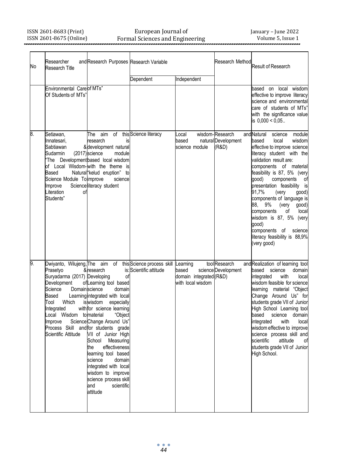#### European Journal of Formal Sciences and Engineering

| No | Researcher<br><b>Research Title</b>                                                                                                                                                                                                 | and Research Purposes Research Variable                                                                                                                                                                                                                                                                                                                                                                                                                            |                                                       |                                                                   | Research Method                                 | Result of Research                                                                                                                                                                                                                                                                                                                                                                                                                                                                                          |
|----|-------------------------------------------------------------------------------------------------------------------------------------------------------------------------------------------------------------------------------------|--------------------------------------------------------------------------------------------------------------------------------------------------------------------------------------------------------------------------------------------------------------------------------------------------------------------------------------------------------------------------------------------------------------------------------------------------------------------|-------------------------------------------------------|-------------------------------------------------------------------|-------------------------------------------------|-------------------------------------------------------------------------------------------------------------------------------------------------------------------------------------------------------------------------------------------------------------------------------------------------------------------------------------------------------------------------------------------------------------------------------------------------------------------------------------------------------------|
|    |                                                                                                                                                                                                                                     |                                                                                                                                                                                                                                                                                                                                                                                                                                                                    | Dependent                                             | Independent                                                       |                                                 |                                                                                                                                                                                                                                                                                                                                                                                                                                                                                                             |
|    | <b>Environmental Carelof MTs"</b><br>Of Students of MTs'                                                                                                                                                                            |                                                                                                                                                                                                                                                                                                                                                                                                                                                                    |                                                       |                                                                   |                                                 | based<br>on local wisdom<br>effective to improve literacy<br>science and environmental<br>care of students of MTs"<br>with the significance value<br>is $0,000 < 0,05$                                                                                                                                                                                                                                                                                                                                      |
| 8. | Setiawan,<br>Innatesari,<br>Sabtiawan<br>Sudarmin<br>Based<br>Science Module Tolimprove<br>Improve<br>Literation<br>οf<br>Students"                                                                                                 | of<br>The<br>aim<br>research<br>is<br>& development natural<br>(2017) science<br>module<br>'The Development based local wisdom<br>of Local Wisdom-with the theme is<br>Natural "kelud eruption"<br>to<br>science<br>Scienceliteracy student                                                                                                                                                                                                                        | this Science literacy                                 | Local<br>based<br>science module                                  | wisdom-Research<br>natural Development<br>(R&D) | and Natural<br>science<br>module<br>wisdom<br>based<br>local<br>effective to improve science<br>literacy student with the<br>validation result are:<br>components of material<br>feasibility is 87, 5% (very<br>(doop<br>components<br>οf<br>presentation feasibility is<br>91,7%<br>qood)<br>(very<br>components of language is<br>9%<br>(very<br>qood)<br>88.<br>components<br>οf<br>local<br>wisdom is 87, 5% (very<br>good)<br>components of<br>science<br>literacy feasibility is 88,9%<br>(very good) |
| 9. | Dwiyanto, Wilujeng, The<br>Prasetyo<br>Suryadarma (2017) Developing<br>Development<br>Science<br><b>Domain</b> science<br>Based<br><b>Which</b><br>Tool<br>Integrated<br>Local Wisdom to material<br>Improve<br>Scientific Attitude | aim<br>of<br>& research<br>of<br>ofLearning tool based<br>domain<br>Learning integrated with local<br>iswisdom<br>especially<br>with for science learning<br>"Obiect<br>Science Change Around Us"<br>Process Skill and for students grade<br>VII of Junior High<br>School<br>Measuring<br>effectiveness<br>the<br>learning tool based<br>science<br>domain<br>integrated with local<br>wisdom to improve<br>science process skill<br>and<br>scientific<br>attitude | this Science process skill<br>is: Scientific attitude | Learning<br>based<br>domain integrated (R&D)<br>with local wisdom | tool Research<br>science Development            | and Realization of learning tool<br>based<br>science<br>domain<br>integrated<br>with<br>local<br>wisdom feasible for science<br>learning material "Object<br>Change Around Us" for<br>students grade VII of Junior<br>High School Learning tool<br>based<br>science<br>domain<br>integrated<br>with<br>local<br>wisdom effective to improve<br>science process skill and<br>scientific<br>attitude<br>οf<br>students grade VII of Junior<br>High School.                                                    |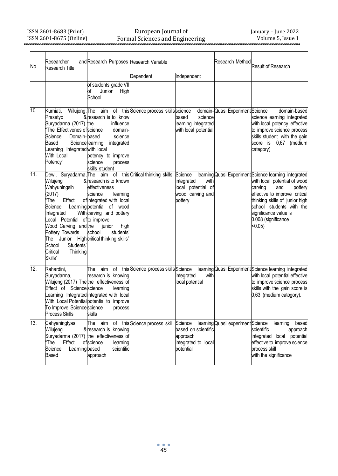#### European Journal of Formal Sciences and Engineering

| No  | Researcher<br><b>Research Title</b>                                                                                                                                                                                | and Research Purposes Research Variable                                                                                                                                                                                                                |                                                            |                                                                                    | Research Method                   | Result of Research                                                                                                                                                                                                                                                              |
|-----|--------------------------------------------------------------------------------------------------------------------------------------------------------------------------------------------------------------------|--------------------------------------------------------------------------------------------------------------------------------------------------------------------------------------------------------------------------------------------------------|------------------------------------------------------------|------------------------------------------------------------------------------------|-----------------------------------|---------------------------------------------------------------------------------------------------------------------------------------------------------------------------------------------------------------------------------------------------------------------------------|
|     |                                                                                                                                                                                                                    | of students grade VII<br>Junior<br>High<br>οf<br>School.                                                                                                                                                                                               | Dependent                                                  | Independent                                                                        |                                   |                                                                                                                                                                                                                                                                                 |
| 10. | Kumiati,<br>Prasetyo<br>Survadarma (2017) the<br>The Effectivenes of science<br>Science<br>Domain-based<br>Based<br>Learning Integrated with local<br>With Local<br>Potency"                                       | &research is to know<br>influence<br>domain-<br>science<br>Sciencelearning<br>integrated<br>potency to improve<br>science<br>process<br>skills student                                                                                                 | Wilujeng, The aim of this Science process skills science   | based<br>science<br>learning integrated<br>with local potential                    | domain-Quasi Experiment Science   | domain-based<br>science learning integrated<br>with local potency effective<br>to improve science process<br>skills student with the gain<br>score is 0,67 (medium<br>category)                                                                                                 |
| 11. | Wilujeng<br>Wahyuningsih<br>(2017)<br>'The<br>Effect<br>Science<br>Integrated<br>Local Potential ofto improve<br>Wood Carving and the<br>Pottery Towards<br>School<br>Students'<br>Critical<br>Thinkina<br>Skills" | & research is to known<br>effectiveness<br>science<br>learning<br>of integrated with local<br>Learning potential of wood<br>With carving and pottery<br>junior<br>high<br>school<br>students <sup>'</sup><br>The Junior High critical thinking skills" | Dewi, Suryadarma, The aim of this Critical thinking skills | Science<br>integrated<br>with<br>local potential of<br>wood carving and<br>pottery |                                   | learning Quasi Experiment Science learning integrated<br>with local potential of wood<br>carving<br>and<br>pottery<br>effective to improve critical<br>thinking skills of junior high<br>school students with the<br>significance value is<br>0.008 (significance<br>$< 0.05$ ) |
| 12. | Rahardini,<br>Suryadarma,<br>Effect of Sciencescience<br>To Improve Science science<br><b>Process Skills</b>                                                                                                       | The<br>aim<br>research is knowing<br>Wilujeng (2017) The the effectiveness of<br>learning<br>Learning Integrated integrated with local<br>With Local Potential potential to improve<br>process<br>skills                                               | of this Science process skills Science                     | integrated<br>with<br>local potential                                              |                                   | learning Quasi Experiment Science learning integrated<br>with local potential effective<br>to improve science process<br>skills with the gain score is<br>0,63 (medium catogory).                                                                                               |
| 13. | Cahyaningtyas,<br>Wilujeng<br>ʻThe<br>Effect<br>Science<br>Learning based<br>Based                                                                                                                                 | &research is knowing<br>Suryadarma (2017) the effectiveness of<br>ofscience<br>learning<br>scientific<br>approach                                                                                                                                      | The aim of this Science process skill Science              | based on scientific<br>approach<br>integrated to local<br>potential                | learning Quasi experiment Science | learning<br>based<br>scientific<br>approach<br>integrated local potential<br>effective to improve science<br>process skill<br>with the significance                                                                                                                             |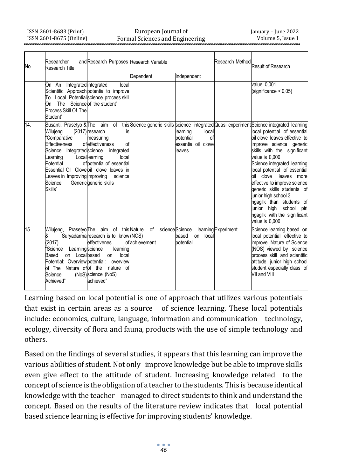#### European Journal of Formal Sciences and Engineering

| No  | Researcher<br><b>Research Title</b>                                                                                                                           | and Research Purposes Research Variable                                                                                                                                                                          |                                                                               |                                                                        | <b>Research Method</b> | Result of Research                                                                                                                                                                                                                                                                                                                                                                                                                                                                                                                                                |
|-----|---------------------------------------------------------------------------------------------------------------------------------------------------------------|------------------------------------------------------------------------------------------------------------------------------------------------------------------------------------------------------------------|-------------------------------------------------------------------------------|------------------------------------------------------------------------|------------------------|-------------------------------------------------------------------------------------------------------------------------------------------------------------------------------------------------------------------------------------------------------------------------------------------------------------------------------------------------------------------------------------------------------------------------------------------------------------------------------------------------------------------------------------------------------------------|
|     |                                                                                                                                                               |                                                                                                                                                                                                                  | Dependent                                                                     | Independent                                                            |                        |                                                                                                                                                                                                                                                                                                                                                                                                                                                                                                                                                                   |
|     | On An Integrated integrated<br>On The Science of the student"<br>Process Skill Of The<br>Student"                                                             | local<br>Scientific Approach potential to improve<br>To Local Potentialscience process skill                                                                                                                     |                                                                               |                                                                        |                        | value 0,001<br>$(significance 0,05)$                                                                                                                                                                                                                                                                                                                                                                                                                                                                                                                              |
| 14. | Wilujeng<br>'Comparative<br><b>Effectiveness</b><br>Science Integrated science<br>Learning<br>Potential<br>eaves in Improving improving<br>Science<br>Skills" | (2017) research<br>is<br>measuring<br>ofeffectiveness<br>οf<br>integrated<br>Locallearning<br>local<br>of potential of essential<br>Essential Oil Cloveloil clove leaves in<br>science<br>Generic generic skills |                                                                               | learning<br>local<br>potential<br>of<br>essential oil clovel<br>leaves |                        | Susanti, Prasetyo & The aim of this Science generic skills science integrated Quasi experiment Science integrated learning<br>local potential of essential<br>oil clove leaves effective to<br>improve science generic<br>skills with the significant<br>value is 0.000<br>Science integrated learning<br>local potential of essential<br>oil clove<br>leaves more<br>effective to improve science<br>generic skills students of<br>junior high school 3<br>ngaglik than students of<br>junior high school piri<br>ngaglik with the significant<br>value is 0,000 |
| 15. | &<br>(2017)<br>'Science Learning science<br>on Localbased<br>Based<br>Science<br>Achieved"                                                                    | Suryadarma research is to know (NOS)<br>effectivenes<br>learning<br>local<br>on<br>Potential: Overview potential: overview<br>of The Nature of of the nature of<br>(NoS) science (NoS)<br>achieved"              | Wilujeng, Prasetyo The aim of this Nature of science Science<br>ofachievement | local<br>based<br>on<br>potential                                      | learning Experiment    | Science learning based on<br>local potential effective to<br>improve Nature of Science<br>(NOS) viewed by science<br>process skill and scientific<br>attitude junior high school<br>student especially class of<br>VII and VIII                                                                                                                                                                                                                                                                                                                                   |

Learning based on local potential is one of approach that utilizes various potentials that exist in certain areas as a source of science learning. These local potentials include: economics, culture, language, information and communication technology, ecology, diversity of flora and fauna, products with the use of simple technology and others.

Based on the findings of several studies, it appears that this learning can improve the various abilities of student.Not only improve knowledge but be able to improve skills even give effect to the attitude of student. Increasing knowledge related to the concept of science is the obligation of a teacher tothe students.This is because identical knowledge with the teacher managed to direct students to think and understand the concept. Based on the results of the literature review indicates that local potential based science learning is effective for improving students' knowledge.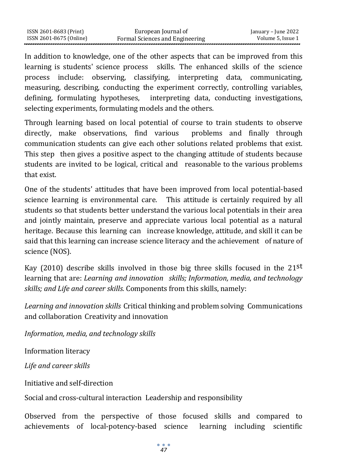In addition to knowledge, one of the other aspects that can be improved from this learning is students' science process skills. The enhanced skills of the science process include: observing, classifying, interpreting data, communicating, measuring, describing, conducting the experiment correctly, controlling variables, defining, formulating hypotheses, interpreting data, conducting investigations, selecting experiments, formulating models and the others.

Through learning based on local potential of course to train students to observe directly, make observations, find various problems and finally through communication students can give each other solutions related problems that exist. This step then gives a positive aspect to the changing attitude of students because students are invited to be logical, critical and reasonable to the various problems that exist.

One of the students' attitudes that have been improved from local potential-based science learning is environmental care. This attitude is certainly required by all students so that students better understand the various local potentials in their area and jointly maintain, preserve and appreciate various local potential as a natural heritage. Because this learning can increase knowledge, attitude, and skill it can be said that this learning can increase science literacy and the achievement of nature of science (NOS).

Kay (2010) describe skills involved in those big three skills focused in the  $21^{st}$ learning that are: *Learning and innovation skills; Information, media, and technology skills; and Life and career skills.* Components from this skills, namely:

*Learning and innovation skills* Critical thinking and problem solving Communications and collaboration Creativity and innovation

*Information, media, and technology skills*

Information literacy

*Life and career skills*

Initiative and self-direction

Social and cross-cultural interaction Leadership and responsibility

Observed from the perspective of those focused skills and compared to achievements of local-potency-based science learning including scientific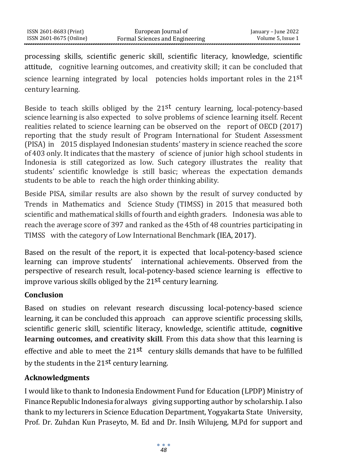processing skills, scientific generic skill, scientific literacy, knowledge, scientific attitude, cognitive learning outcomes, and creativity skill; it can be concluded that science learning integrated by local potencies holds important roles in the  $21^{st}$ century learning.

Beside to teach skills obliged by the  $21^{st}$  century learning, local-potency-based science learning is also expected to solve problems of science learning itself. Recent realities related to science learning can be observed on the report of OECD (2017) reporting that the study result of Program International for Student Assessment (PISA) in 2015 displayed Indonesian students' mastery in science reached the score of 403 only. It indicates that the mastery of science of junior high school students in Indonesia is still categorized as low. Such category illustrates the reality that students' scientific knowledge is still basic; whereas the expectation demands students to be able to reach the high order thinking ability.

Beside PISA, similar results are also shown by the result of survey conducted by Trends in Mathematics and Science Study (TIMSS) in 2015 that measured both scientific and mathematical skills of fourth and eighth graders. Indonesia was able to reach the average score of 397 and ranked as the 45th of 48 countries participating in TIMSS with the category of Low International Benchmark (IEA, 2017).

Based on the result of the report, it is expected that local-potency-based science learning can improve students' international achievements. Observed from the perspective of research result, local-potency-based science learning is effective to improve various skills obliged by the 21st century learning.

## **Conclusion**

Based on studies on relevant research discussing local-potency-based science learning, it can be concluded this approach can approve scientific processing skills, scientific generic skill, scientific literacy, knowledge, scientific attitude, **cognitive learning outcomes, and creativity skill**. From this data show that this learning is effective and able to meet the  $21^{st}$  century skills demands that have to be fulfilled by the students in the 21<sup>st</sup> century learning.

## **Acknowledgments**

I would like to thank to Indonesia Endowment Fund for Education (LPDP) Ministry of Finance Republic Indonesia for always giving supporting author by scholarship. I also thank to my lecturers in Science Education Department, Yogyakarta State University, Prof. Dr. Zuhdan Kun Praseyto, M. Ed and Dr. Insih Wilujeng, M.Pd for support and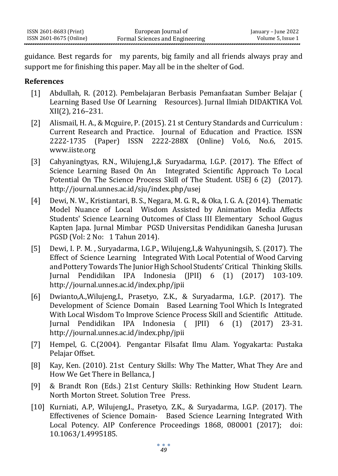guidance. Best regards for my parents, big family and all friends always pray and support me for finishing this paper. May all be in the shelter of God.

#### **References**

- [1] Abdullah, R. (2012). Pembelajaran Berbasis Pemanfaatan Sumber Belajar ( Learning Based Use Of Learning Resources). Jurnal Ilmiah DIDAKTIKA Vol. XII(2), 216–231.
- [2] Alismail, H. A., & Mcguire, P. (2015). 21 st Century Standards and Curriculum : Current Research and Practice. Journal of Education and Practice. ISSN 2222-1735 (Paper) ISSN 2222-288X (Online) Vol.6, No.6, 2015. [www.iiste.org](http://www.iiste.org/)
- [3] Cahyaningtyas, R.N., Wilujeng,I.,& Suryadarma, I.G.P. (2017). The Effect of Science Learning Based On An Integrated Scientific Approach To Local Potential On The Science Process Skill of The Student. USEJ 6 (2) (2017[\).](http://journal.unnes.ac.id/sju/index.php/usej) <http://journal.unnes.ac.id/sju/index.php/usej>
- [4] Dewi, N. W., Kristiantari, B. S., Negara, M. G. R., & Oka, I. G. A. (2014). Thematic Model Nuance of Local Wisdom Assisted by Animation Media Affects Students' Science Learning Outcomes of Class III Elementary School Gugus Kapten Japa. Jurnal Mimbar PGSD Universitas Pendidikan Ganesha Jurusan PGSD (Vol: 2 No: 1 Tahun 2014).
- [5] Dewi, I. P. M. , Suryadarma, I.G.P., Wilujeng,I.,& Wahyuningsih, S. (2017). The Effect of Science Learning Integrated With Local Potential of Wood Carving and Pottery Towards The Junior High School Students' Critical Thinking Skills. Jurnal Pendidikan IPA Indonesia (JPII) 6 (1) (2017) 103-10[9.](http://journal.unnes.ac.id/index.php/jpii) <http://journal.unnes.ac.id/index.php/jpii>
- [6] Dwianto,A.,Wilujeng,I., Prasetyo, Z.K., & Suryadarma, I.G.P. (2017). The Development of Science Domain Based Learning Tool Which Is Integrated With Local Wisdom To Improve Science Process Skill and Scientific Attitude. Jurnal Pendidikan IPA Indonesia ( JPII) 6 (1) (2017) 23-31. <http://journal.unnes.ac.id/index.php/jpii>
- [7] Hempel, G. C.(2004). Pengantar Filsafat Ilmu Alam. Yogyakarta: Pustaka Pelajar Offset.
- [8] Kay, Ken. (2010). 21st Century Skills: Why The Matter, What They Are and How We Get There in Bellanca, J
- [9] & Brandt Ron (Eds.) 21st Century Skills: Rethinking How Student Learn. North Morton Street. Solution Tree Press.
- [10] Kurniati, A.P, Wilujeng,I., Prasetyo, Z.K., & Suryadarma, I.G.P. (2017). The Effectivenes of Science Domain- Based Science Learning Integrated With Local Potency. AIP Conference Proceedings 1868, 080001 (2017); doi: 10.1063/1.4995185.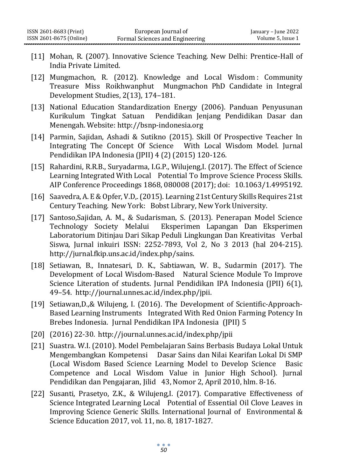- [11] Mohan, R. (2007). Innovative Science Teaching. New Delhi: Prentice-Hall of India Private Limited.
- [12] Mungmachon, R. (2012). Knowledge and Local Wisdom : Community Treasure Miss Roikhwanphut Mungmachon PhD Candidate in Integral Development Studies, 2(13), 174–181.
- [13] National Education Standardization Energy (2006). Panduan Penyusunan Kurikulum Tingkat Satuan Pendidikan Jenjang Pendidikan Dasar dan Menengah. Websit[e: http://bsnp-indonesia.org](http://bsnp-indonesia.org/)
- [14] Parmin, Sajidan, Ashadi & Sutikno (2015). Skill Of Prospective Teacher In Integrating The Concept Of Science With Local Wisdom Model. Jurnal Pendidikan IPA Indonesia (JPII) 4 (2) (2015) 120-126.
- [15] Rahardini, R.R.B., Suryadarma, I.G.P., Wilujeng,I. (2017). The Effect of Science Learning Integrated With Local Potential To Improve Science Process Skills. AIP Conference Proceedings 1868, 080008 (2017); doi: 10.1063/1.4995192.
- [16] Saavedra, A. E& Opfer, V.D,.(2015). Learning 21st Century Skills Requires 21st Century Teaching. New York: Bobst Library, New York University.
- [17] Santoso,Sajidan, A. M., & Sudarisman, S. (2013). Penerapan Model Science Technology Society Melalui Eksperimen Lapangan Dan Eksperimen Laboratorium Ditinjau Dari Sikap Peduli Lingkungan Dan Kreativitas Verbal Siswa, Jurnal inkuiri ISSN: 2252-7893, Vol 2, No 3 2013 (hal 204-215[\).](http://jurnal.fkip.uns.ac.id/index.php/sains) [http://jurnal.fkip.uns.ac.id/index.php/sains.](http://jurnal.fkip.uns.ac.id/index.php/sains)
- [18] Setiawan, B., Innatesari, D. K., Sabtiawan, W. B., Sudarmin (2017). The Development of Local Wisdom-Based Natural Science Module To Improve Science Literation of students. Jurnal Pendidikan IPA Indonesia (JPII) 6(1), 49–54. [http://journal.unnes.ac.id/index.php/jpii.](http://journal.unnes.ac.id/index.php/jpii)
- [19] Setiawan, D., & Wilujeng, I. (2016). The Development of Scientific-Approach-Based Learning Instruments Integrated With Red Onion Farming Potency In Brebes Indonesia. Jurnal Pendidikan IPA Indonesia (JPII) 5
- [20] (2016) 22-30. <http://journal.unnes.ac.id/index.php/jpii>
- [21] Suastra. W.I. (2010). Model Pembelajaran Sains Berbasis Budaya Lokal Untuk Mengembangkan Kompetensi Dasar Sains dan Nilai Kearifan Lokal Di SMP (Local Wisdom Based Science Learning Model to Develop Science Basic Competence and Local Wisdom Value in Junior High School). Jurnal Pendidikan dan Pengajaran, Jilid 43, Nomor 2, April 2010, hlm. 8-16.
- [22] Susanti, Prasetyo, Z.K., & Wilujeng,I. (2017). Comparative Effectiveness of Science Integrated Learning Local Potential of Essential Oil Clove Leaves in Improving Science Generic Skills. International Journal of Environmental & Science Education 2017, vol. 11, no. 8, 1817-1827.